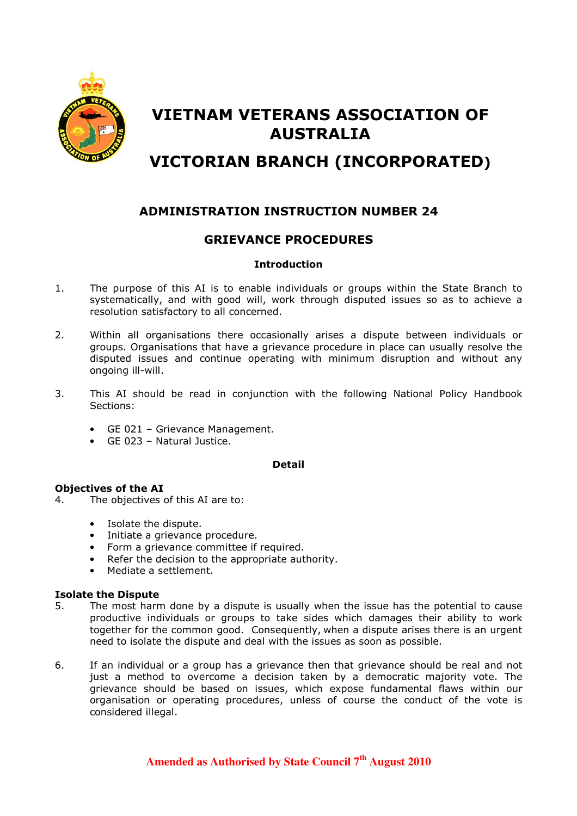

# VIETNAM VETERANS ASSOCIATION OF AUSTRALIA

# VICTORIAN BRANCH (INCORPORATED)

## ADMINISTRATION INSTRUCTION NUMBER 24

### GRIEVANCE PROCEDURES

#### **Introduction**

- 1. The purpose of this AI is to enable individuals or groups within the State Branch to systematically, and with good will, work through disputed issues so as to achieve a resolution satisfactory to all concerned.
- 2. Within all organisations there occasionally arises a dispute between individuals or groups. Organisations that have a grievance procedure in place can usually resolve the disputed issues and continue operating with minimum disruption and without any ongoing ill-will.
- 3. This AI should be read in conjunction with the following National Policy Handbook Sections:
	- GE 021 Grievance Management.
	- GE 023 Natural Justice.

#### Detail

#### Objectives of the AI

- 4. The objectives of this AI are to:
	- Isolate the dispute.
	- Initiate a grievance procedure.
	- Form a grievance committee if required.
	- Refer the decision to the appropriate authority.
	- Mediate a settlement.

#### Isolate the Dispute

- 5. The most harm done by a dispute is usually when the issue has the potential to cause productive individuals or groups to take sides which damages their ability to work together for the common good. Consequently, when a dispute arises there is an urgent need to isolate the dispute and deal with the issues as soon as possible.
- 6. If an individual or a group has a grievance then that grievance should be real and not just a method to overcome a decision taken by a democratic majority vote. The grievance should be based on issues, which expose fundamental flaws within our organisation or operating procedures, unless of course the conduct of the vote is considered illegal.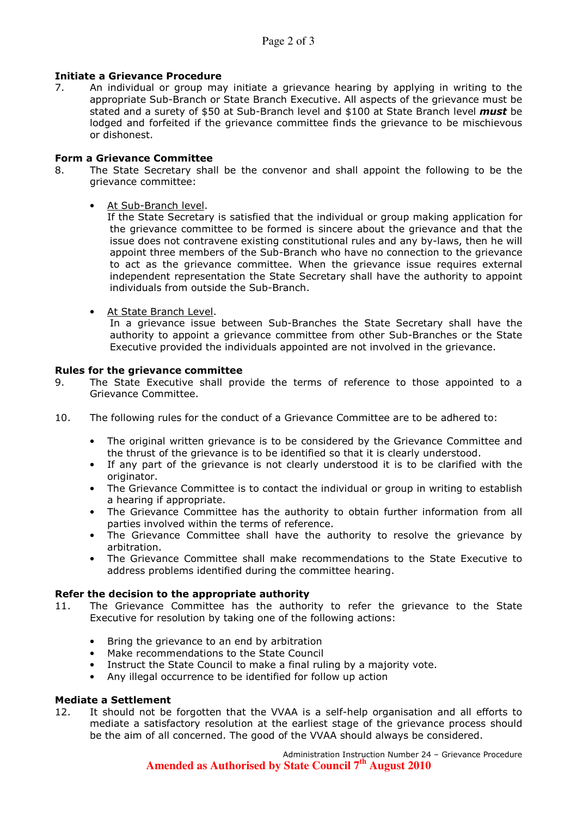#### Initiate a Grievance Procedure

7. An individual or group may initiate a grievance hearing by applying in writing to the appropriate Sub-Branch or State Branch Executive. All aspects of the grievance must be stated and a surety of \$50 at Sub-Branch level and \$100 at State Branch level *must* be lodged and forfeited if the grievance committee finds the grievance to be mischievous or dishonest.

#### Form a Grievance Committee

- 8. The State Secretary shall be the convenor and shall appoint the following to be the grievance committee:
	- At Sub-Branch level.

If the State Secretary is satisfied that the individual or group making application for the grievance committee to be formed is sincere about the grievance and that the issue does not contravene existing constitutional rules and any by-laws, then he will appoint three members of the Sub-Branch who have no connection to the grievance to act as the grievance committee. When the grievance issue requires external independent representation the State Secretary shall have the authority to appoint individuals from outside the Sub-Branch.

• At State Branch Level.

In a grievance issue between Sub-Branches the State Secretary shall have the authority to appoint a grievance committee from other Sub-Branches or the State Executive provided the individuals appointed are not involved in the grievance.

#### Rules for the grievance committee

- 9. The State Executive shall provide the terms of reference to those appointed to a Grievance Committee.
- 10. The following rules for the conduct of a Grievance Committee are to be adhered to:
	- The original written grievance is to be considered by the Grievance Committee and the thrust of the grievance is to be identified so that it is clearly understood.
	- If any part of the grievance is not clearly understood it is to be clarified with the originator.
	- The Grievance Committee is to contact the individual or group in writing to establish a hearing if appropriate.
	- The Grievance Committee has the authority to obtain further information from all parties involved within the terms of reference.
	- The Grievance Committee shall have the authority to resolve the grievance by arbitration.
	- The Grievance Committee shall make recommendations to the State Executive to address problems identified during the committee hearing.

#### Refer the decision to the appropriate authority

- 11. The Grievance Committee has the authority to refer the grievance to the State Executive for resolution by taking one of the following actions:
	- Bring the grievance to an end by arbitration
	- Make recommendations to the State Council
	- Instruct the State Council to make a final ruling by a majority vote.
	- Any illegal occurrence to be identified for follow up action

#### Mediate a Settlement

12. It should not be forgotten that the VVAA is a self-help organisation and all efforts to mediate a satisfactory resolution at the earliest stage of the grievance process should be the aim of all concerned. The good of the VVAA should always be considered.